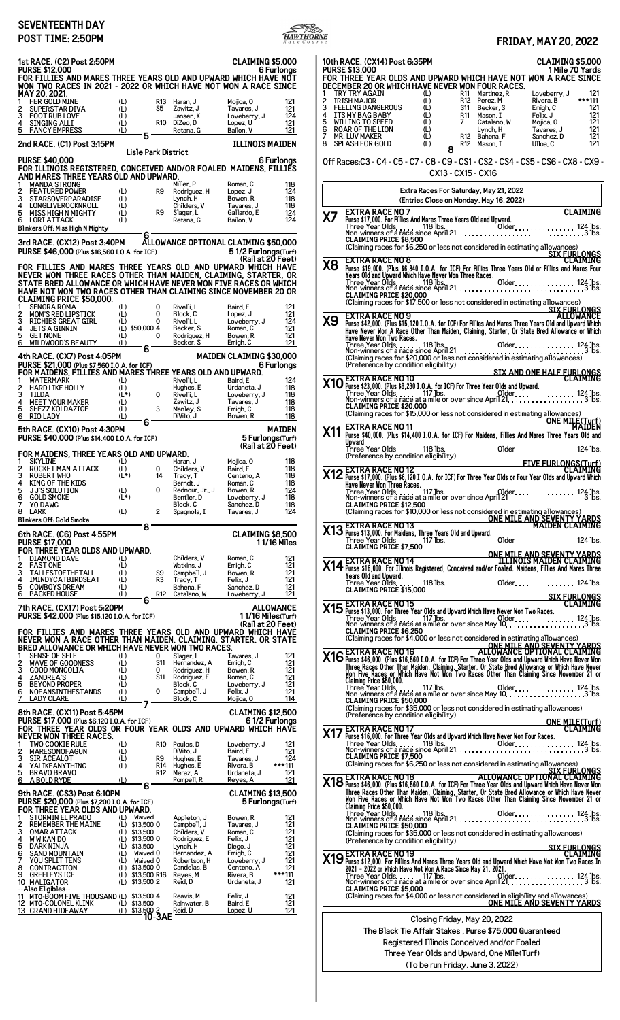## **SEVENTEENTH DAY**



**10th RACE. (CX14) Post 6:35PM CLAIMING \$5,000 PURSE \$13,000 1 Mile 70 Yards FOR THREE YEAR OLDS AND UPWARD WHICH HAVE NOT WON A RACE SINCE DECEMBER 20 OR WHICH HAVE NEVER WON FOUR RACES.** 1 TRY TRY AGAIN (L) R11 Martinez, R Loveberry, J<br>
121 IRISH MAJOR (L) R12 Perez, M Rivera, B<br>
FEELING DANGEROUS (L) S11 Becker, S Emigh, C<br>
121 ITS MY BAG BABY (L) R11 Mason, I Felix, J 121<br>
MILLING TO SPEED (L) 7 Catalano 2 IRISH MAJOR<br>
3 FEELING DANGEROUS (L) S11 Becker, S Emigh, C 121<br>
4 ITS MY BAG BABY (L) R11 Mason, I Felix, J 121<br>
5 WILLING TO SPEED (L) 7 Catalano, W Mojica, O 121<br>
6 ROAR OF THE LION (L) Lynch, H Tavares, J 121<br>
7 MR. Off Races:C3 - C4 - C5 - C7 - C8 - C9 - CS1 - CS2 - CS4 - CS5 - CS6 - CX8 - CX9 - CX13 - CX15 - CX16 **Extra Races For Saturday, May 21, 2022 (Entries Close on Monday, May 16, 2022) X7 EXTRA RACE NO 7 CLAIMING** Three Year Olds 118 lbs. Older 124 lbs. Non-winners of a race since April 21 3 lbs. **CLAIMING PRICE \$8,500** Claiming races for \$6,250 or less not considered in estimating allowances)<br>
THE STRA RACE NO 8<br>
Purse \$19,000. (Plus \$6,840 I.O.A, for ICF) For Fillies Three Years Old or Fillies and Mares Four<br>
Years Old and Upward Which **SIX AND ONE HALF FURLONGS X10 EXTRA RACE NO 10 CLAIMING .5

 "."
 \$ % \$&'**  Three Year Olds 117 lbs. Older 124 lbs. Non-winners of a race at a mile or over since April 21 3 lbs. **CLAIMING PRICE \$20,000** Non-winners of a race at a unite of occurrences.<br>CLAIMING PRICE \$20,000<br>Claiming races for \$15,000 or less not considered in estimating allowances)<br>MAIDEN **THE STRA RACE NO 11**<br> **11** Purse \$40,000. (Plus \$14,400 I.O.A. for ICF) For Maidens, Fillies And Mares Three Years Old and<br>
Upward. Older 118 lbs. Older 124 lbs. (Preference by condition eligibility) **FIVE FURLONGS(Turf) X12 EXTRA RACE NO 12 CLAIMING 

 ! .
 \$ % \$&' () \*+ ,+ ( -)** Three Year Olds 117 lbs. Older 124 lbs. Non-winners of a race at a mile or over since April 21 3 lbs. **CLAIMING PRICE \$12,500** Claiming races for \$10,000 or less not considered in estimating allowances)<br>ONE MILE AND SEVENTY YARDS<br>MAIDEN CLAIMING<br>MAIDEN CLAIMING بروی بر Maidens, Three Years Old and Upward. Purse \$13,000. For Maidens, Three Years Old and Upward. Three Year Olds. . . . . . . 117 lbs. Older. . . . . . . . . . . . . . . 124 lbs. **CLAIMING PRICE \$7,500 ONE MILE AND SEVENTY YARDS X14 EXTRA RACE NO 14 ILLINOIS MAIDEN CLAIMING !

 \$ -20 &)+ 6**  Three Year Olds 118 lbs. Older 124 lbs. **CLAIMING PRICE \$15,000 SIX FURLONGS X15 EXTRA RACE NO 15 CLAIMING 5

 () \*+ ,+ ( -)** Three Year Olds 117 lbs. Older 124 lbs. Non-winners of a race at a mile or over since May 10 3 lbs. **CLAIMING PRICE \$6,250** (Claiming races for \$4,000 or less not considered in estimating allowances)<br>
The EXTRA RACE NO 16<br>
Three Races 0ther Than Malden, Claiming Charles and Upward Which Have Never Wom<br>
Three Races of the Than Malden, Claiming, **X17 EXTRA RACE NO 17 CLAIMING !

 () \*+ ,+ ( -)** Three Year Olds 118 lbs. Older 124 lbs. Non-winners of a race since April 21 3 lbs. **CLAIMING PRICE \$7,500** (Claiming races for \$6,250 or less not considered in estimating allowances)<br>  $X18$  EXTRA RACE NO 18<br>
Purse \$46,000. (Plus \$16,560 I.O.A, for ICF) For Three Year Olds and Upward Which Have Never Won<br>
Three Races Other Than **X19 EXTRA RACE NO 19**<br>2021 - 2020 or Frillies And Mares Three Years Old and Upward Which Have Not Won Two Races In<br>2021 - 2020 or Which Have Not Won A Race Since May 21, 2021.<br>2021 - 2020 or Have Not Won A Race Since May Closing Friday, May 20, 2022 **The Black Tie Affair Stakes , Purse \$75,000 Guaranteed** Registered Illinois Conceived and/or Foaled Three Year Olds and Upward, One Mile(Turf) (To be run Friday, June 3, 2022)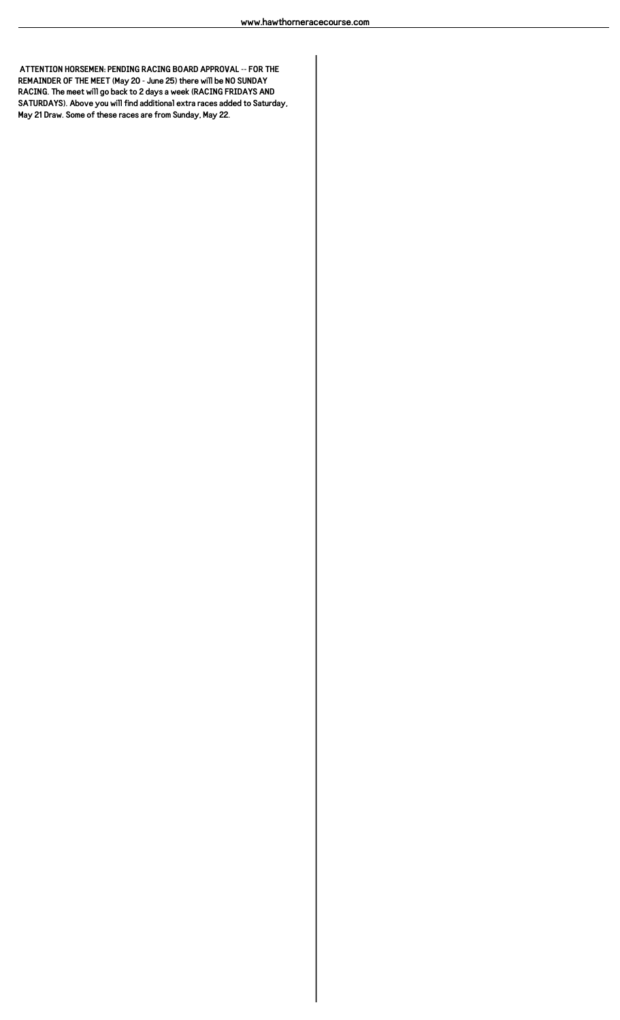**ATTENTION HORSEMEN: PENDING RACING BOARD APPROVAL -- FOR THE REMAINDER OF THE MEET (May 20 - June 25) there will be NO SUNDAY RACING. The meet will go back to 2 days a week (RACING FRIDAYS AND SATURDAYS). Above you will find additional extra races added to Saturday, May 21 Draw. Some of these races are from Sunday, May 22.**